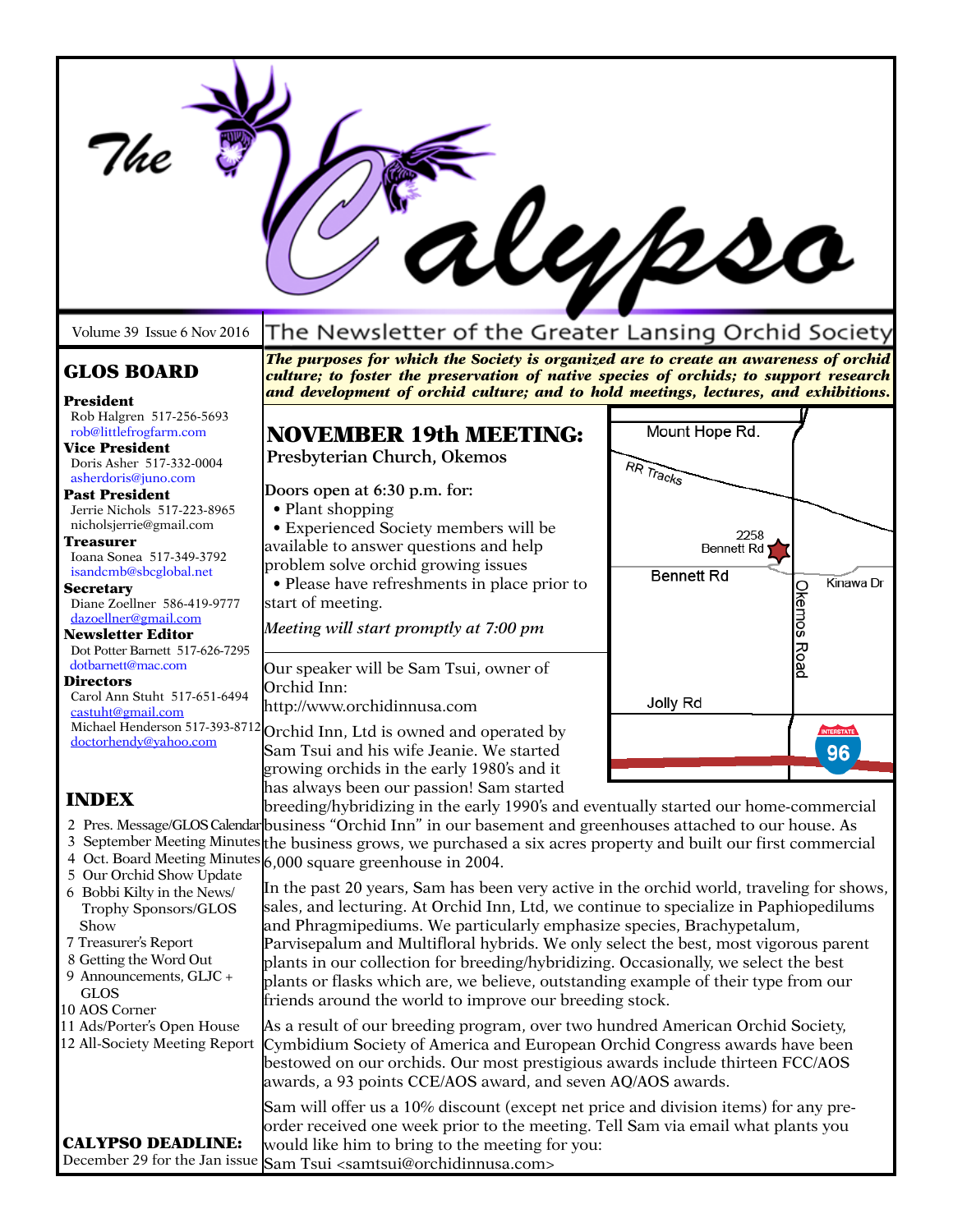|                                                                                                                                                                                                                                                                                         |                                                                                                                                                                                                                                                                                                                                                                                                                                                                                                                                                                                           | Kypso                                   |                                 |
|-----------------------------------------------------------------------------------------------------------------------------------------------------------------------------------------------------------------------------------------------------------------------------------------|-------------------------------------------------------------------------------------------------------------------------------------------------------------------------------------------------------------------------------------------------------------------------------------------------------------------------------------------------------------------------------------------------------------------------------------------------------------------------------------------------------------------------------------------------------------------------------------------|-----------------------------------------|---------------------------------|
| Volume 39 Issue 6 Nov 2016                                                                                                                                                                                                                                                              | The Newsletter of the Greater Lansing Orchid Society                                                                                                                                                                                                                                                                                                                                                                                                                                                                                                                                      |                                         |                                 |
| <b>GLOS BOARD</b><br>President                                                                                                                                                                                                                                                          | The purposes for which the Society is organized are to create an awareness of orchid<br>culture; to foster the preservation of native species of orchids; to support research<br>and development of orchid culture; and to hold meetings, lectures, and exhibitions.                                                                                                                                                                                                                                                                                                                      |                                         |                                 |
| Rob Halgren 517-256-5693<br>rob@littlefrogfarm.com<br><b>Vice President</b><br>Doris Asher 517-332-0004                                                                                                                                                                                 | <b>NOVEMBER 19th MEETING:</b><br>Presbyterian Church, Okemos                                                                                                                                                                                                                                                                                                                                                                                                                                                                                                                              | Mount Hope Rd.<br>RR Tracks             |                                 |
| asherdoris@juno.com<br><b>Past President</b><br>Jerrie Nichols 517-223-8965<br>nicholsjerrie@gmail.com<br><b>Treasurer</b><br>Ioana Sonea 517-349-3792<br>isandcmb@sbcglobal.net<br><b>Secretary</b><br>Diane Zoellner 586-419-9777<br>dazoellner@gmail.com<br><b>Newsletter Editor</b> | Doors open at 6:30 p.m. for:<br>• Plant shopping<br>• Experienced Society members will be<br>available to answer questions and help<br>problem solve orchid growing issues<br>• Please have refreshments in place prior to<br>start of meeting.<br>Meeting will start promptly at 7:00 pm                                                                                                                                                                                                                                                                                                 | 2258<br>Bennett Rd<br><b>Bennett Rd</b> | Kinawa Dr<br><b>Okemos Road</b> |
| Dot Potter Barnett 517-626-7295<br>dotbarnett@mac.com<br><b>Directors</b><br>Carol Ann Stuht 517-651-6494<br>castuht@gmail.com                                                                                                                                                          | Our speaker will be Sam Tsui, owner of<br>Orchid Inn:<br>http://www.orchidinnusa.com<br>Michael Henderson 517-393-8712 Orchid Inn, Ltd is owned and operated by                                                                                                                                                                                                                                                                                                                                                                                                                           | Jolly Rd                                | <b>INTERSTATE</b>               |
| doctorhendy@vahoo.com                                                                                                                                                                                                                                                                   | Sam Tsui and his wife Jeanie. We started<br>growing orchids in the early 1980's and it                                                                                                                                                                                                                                                                                                                                                                                                                                                                                                    |                                         | 96                              |
| <b>INDEX</b><br>5 Our Orchid Show Update<br>6 Bobbi Kilty in the News/<br>Trophy Sponsors/GLOS<br>Show<br>7 Treasurer's Report<br>8 Getting the Word Out<br>9 Announcements, GLJC +<br><b>GLOS</b><br>10 AOS Corner<br>11 Ads/Porter's Open House<br>12 All-Society Meeting Report      | has always been our passion! Sam started<br>breeding/hybridizing in the early 1990's and eventually started our home-commercial<br>2 Pres. Message/GLOS Calendar business "Orchid Inn" in our basement and greenhouses attached to our house. As<br>3 September Meeting Minutes the business grows, we purchased a six acres property and built our first commercial<br>4 Oct. Board Meeting Minutes $6,000$ square greenhouse in 2004.                                                                                                                                                   |                                         |                                 |
|                                                                                                                                                                                                                                                                                         | In the past 20 years, Sam has been very active in the orchid world, traveling for shows,<br>sales, and lecturing. At Orchid Inn, Ltd, we continue to specialize in Paphiopedilums<br>and Phragmipediums. We particularly emphasize species, Brachypetalum,<br>Parvisepalum and Multifloral hybrids. We only select the best, most vigorous parent<br>plants in our collection for breeding/hybridizing. Occasionally, we select the best<br>plants or flasks which are, we believe, outstanding example of their type from our<br>friends around the world to improve our breeding stock. |                                         |                                 |
|                                                                                                                                                                                                                                                                                         | As a result of our breeding program, over two hundred American Orchid Society,<br>Cymbidium Society of America and European Orchid Congress awards have been<br>bestowed on our orchids. Our most prestigious awards include thirteen FCC/AOS<br>awards, a 93 points CCE/AOS award, and seven AQ/AOS awards.                                                                                                                                                                                                                                                                              |                                         |                                 |
| <b>CALYPSO DEADLINE:</b>                                                                                                                                                                                                                                                                | Sam will offer us a 10% discount (except net price and division items) for any pre-<br>order received one week prior to the meeting. Tell Sam via email what plants you<br>would like him to bring to the meeting for you:<br>December 29 for the Jan issue Sam Tsui <samtsui@orchidinnusa.com></samtsui@orchidinnusa.com>                                                                                                                                                                                                                                                                |                                         |                                 |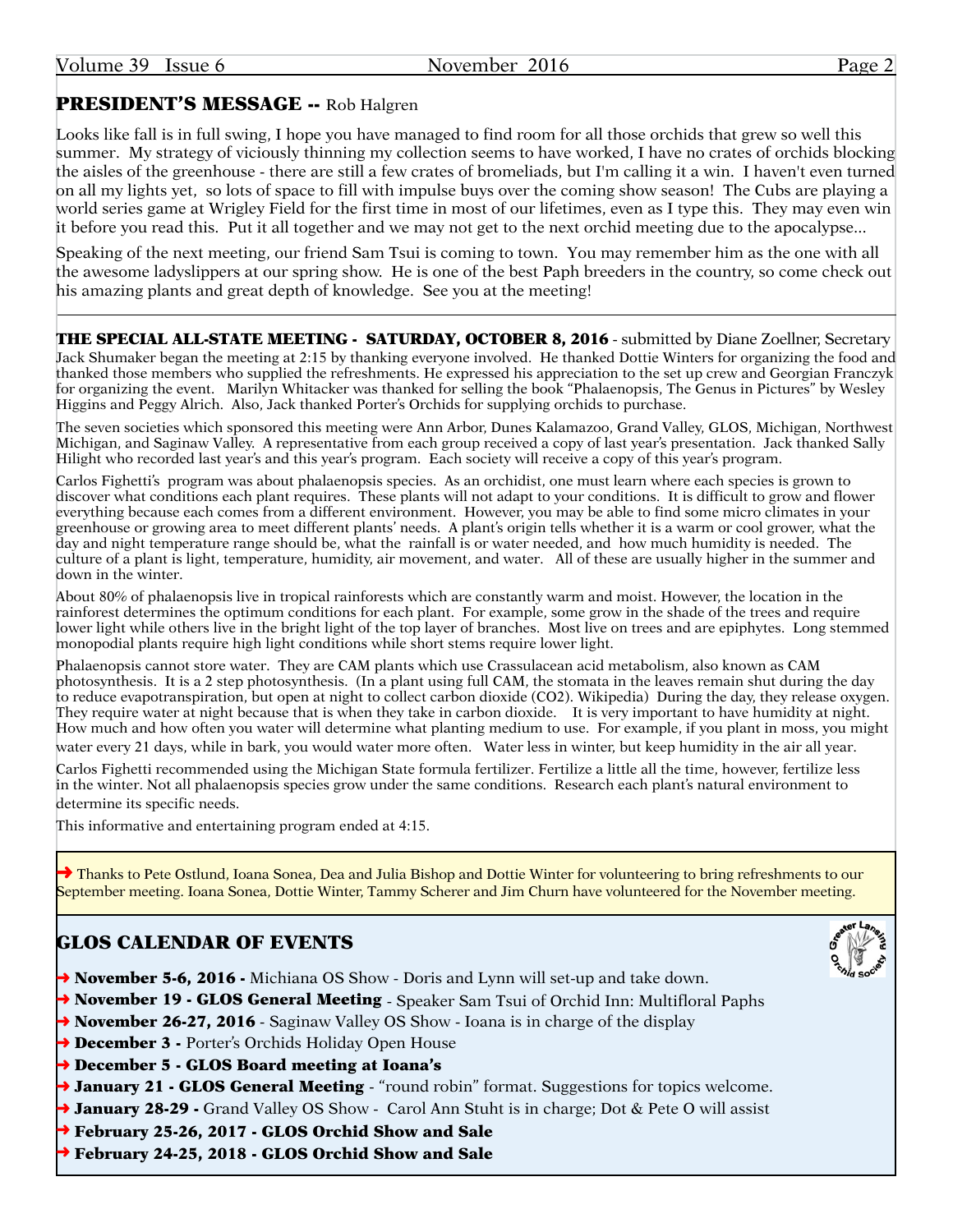### PRESIDENT'S MESSAGE -- Rob Halgren

Looks like fall is in full swing, I hope you have managed to find room for all those orchids that grew so well this summer. My strategy of viciously thinning my collection seems to have worked, I have no crates of orchids blocking the aisles of the greenhouse - there are still a few crates of bromeliads, but I'm calling it a win. I haven't even turned on all my lights yet, so lots of space to fill with impulse buys over the coming show season! The Cubs are playing a world series game at Wrigley Field for the first time in most of our lifetimes, even as I type this. They may even win it before you read this. Put it all together and we may not get to the next orchid meeting due to the apocalypse...

Speaking of the next meeting, our friend Sam Tsui is coming to town. You may remember him as the one with all the awesome ladyslippers at our spring show. He is one of the best Paph breeders in the country, so come check out his amazing plants and great depth of knowledge. See you at the meeting!

THE SPECIAL ALL-STATE MEETING - SATURDAY, OCTOBER 8, 2016 - submitted by Diane Zoellner, Secretary Jack Shumaker began the meeting at 2:15 by thanking everyone involved. He thanked Dottie Winters for organizing the food and thanked those members who supplied the refreshments. He expressed his appreciation to the set up crew and Georgian Franczyk for organizing the event. Marilyn Whitacker was thanked for selling the book "Phalaenopsis, The Genus in Pictures" by Wesley Higgins and Peggy Alrich. Also, Jack thanked Porter's Orchids for supplying orchids to purchase.

The seven societies which sponsored this meeting were Ann Arbor, Dunes Kalamazoo, Grand Valley, GLOS, Michigan, Northwest Michigan, and Saginaw Valley. A representative from each group received a copy of last year's presentation. Jack thanked Sally Hilight who recorded last year's and this year's program. Each society will receive a copy of this year's program.

Carlos Fighetti's program was about phalaenopsis species. As an orchidist, one must learn where each species is grown to discover what conditions each plant requires. These plants will not adapt to your conditions. It is difficult to grow and flower everything because each comes from a different environment. However, you may be able to find some micro climates in your greenhouse or growing area to meet different plants' needs. A plant's origin tells whether it is a warm or cool grower, what the day and night temperature range should be, what the rainfall is or water needed, and how much humidity is needed. The culture of a plant is light, temperature, humidity, air movement, and water. All of these are usually higher in the summer and down in the winter.

About 80% of phalaenopsis live in tropical rainforests which are constantly warm and moist. However, the location in the rainforest determines the optimum conditions for each plant. For example, some grow in the shade of the trees and require lower light while others live in the bright light of the top layer of branches. Most live on trees and are epiphytes. Long stemmed monopodial plants require high light conditions while short stems require lower light.

Phalaenopsis cannot store water. They are CAM plants which use Crassulacean acid metabolism, also known as CAM photosynthesis. It is a 2 step photosynthesis. (In a plant using full CAM, the stomata in the leaves remain shut during the day to reduce evapotranspiration, but open at night to collect carbon dioxide (CO2). Wikipedia) During the day, they release oxygen. They require water at night because that is when they take in carbon dioxide. It is very important to have humidity at night. How much and how often you water will determine what planting medium to use. For example, if you plant in moss, you might water every 21 days, while in bark, you would water more often. Water less in winter, but keep humidity in the air all year.

Carlos Fighetti recommended using the Michigan State formula fertilizer. Fertilize a little all the time, however, fertilize less in the winter. Not all phalaenopsis species grow under the same conditions. Research each plant's natural environment to determine its specific needs.

This informative and entertaining program ended at 4:15.

→ Thanks to Pete Ostlund, Ioana Sonea, Dea and Julia Bishop and Dottie Winter for volunteering to bring refreshments to our September meeting. Ioana Sonea, Dottie Winter, Tammy Scherer and Jim Churn have volunteered for the November meeting.

### GLOS CALENDAR OF EVENTS

- **→ November 5-6, 2016** Michiana OS Show Doris and Lynn will set-up and take down.
- → November 19 GLOS General Meeting Speaker Sam Tsui of Orchid Inn: Multifloral Paphs
- $\rightarrow$  November 26-27, 2016 Saginaw Valley OS Show Ioana is in charge of the display
- → December 3 Porter's Orchids Holiday Open House
- ➜ December 5 GLOS Board meeting at Ioana's
- → January 21 GLOS General Meeting "round robin" format. Suggestions for topics welcome.
- → January 28-29 Grand Valley OS Show Carol Ann Stuht is in charge; Dot & Pete O will assist
- ➜ February 25-26, 2017 GLOS Orchid Show and Sale
- ➜ February 24-25, 2018 GLOS Orchid Show and Sale

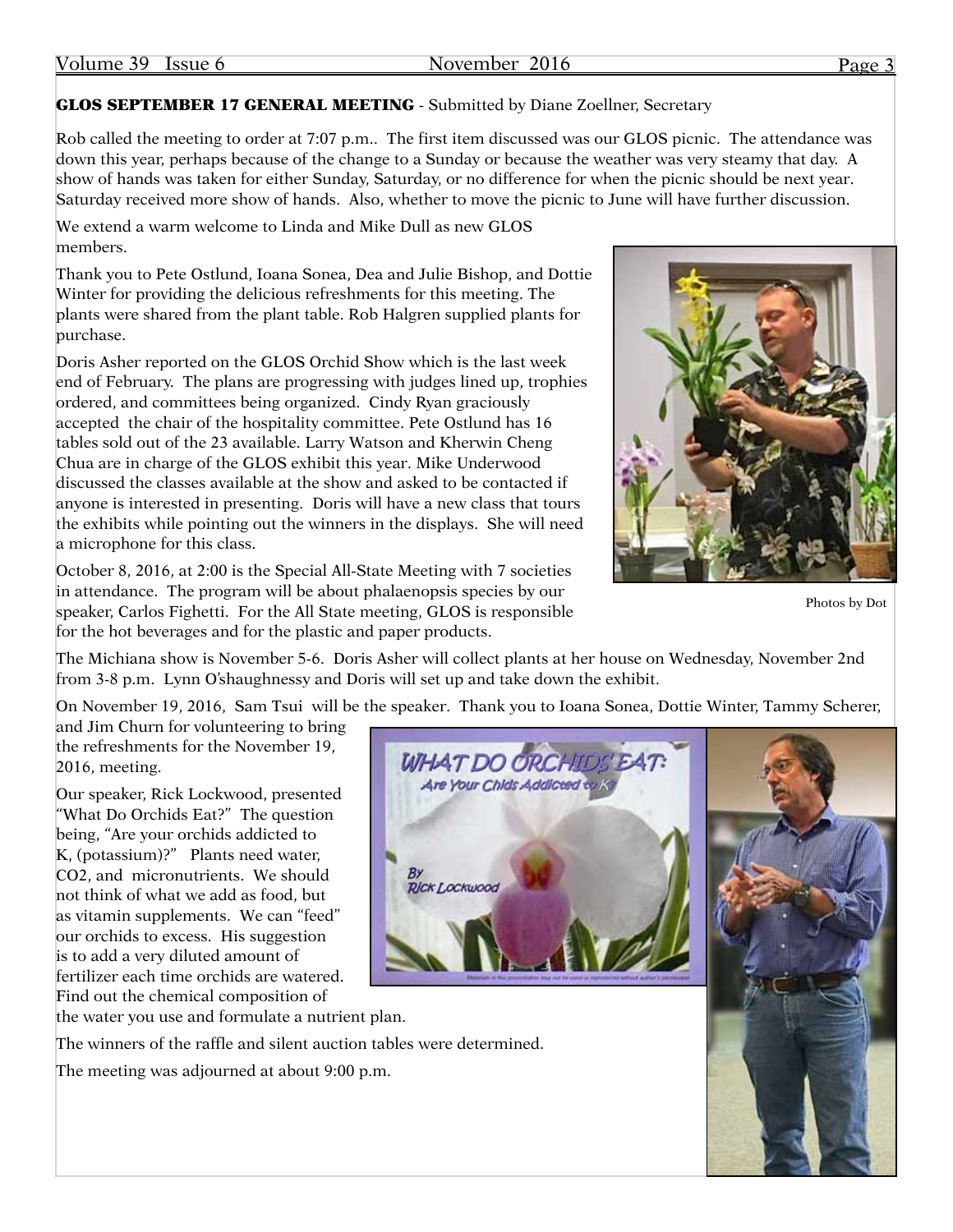### GLOS SEPTEMBER 17 GENERAL MEETING - Submitted by Diane Zoellner, Secretary

Rob called the meeting to order at 7:07 p.m.. The first item discussed was our GLOS picnic. The attendance was down this year, perhaps because of the change to a Sunday or because the weather was very steamy that day. A show of hands was taken for either Sunday, Saturday, or no difference for when the picnic should be next year. Saturday received more show of hands. Also, whether to move the picnic to June will have further discussion.

We extend a warm welcome to Linda and Mike Dull as new GLOS members.

Thank you to Pete Ostlund, Ioana Sonea, Dea and Julie Bishop, and Dottie Winter for providing the delicious refreshments for this meeting. The plants were shared from the plant table. Rob Halgren supplied plants for purchase.

Doris Asher reported on the GLOS Orchid Show which is the last week end of February. The plans are progressing with judges lined up, trophies ordered, and committees being organized. Cindy Ryan graciously accepted the chair of the hospitality committee. Pete Ostlund has 16 tables sold out of the 23 available. Larry Watson and Kherwin Cheng Chua are in charge of the GLOS exhibit this year. Mike Underwood discussed the classes available at the show and asked to be contacted if anyone is interested in presenting. Doris will have a new class that tours the exhibits while pointing out the winners in the displays. She will need a microphone for this class.

October 8, 2016, at 2:00 is the Special All-State Meeting with 7 societies in attendance. The program will be about phalaenopsis species by our speaker, Carlos Fighetti. For the All State meeting, GLOS is responsible for the hot beverages and for the plastic and paper products.



Photos by Dot

The Michiana show is November 5-6. Doris Asher will collect plants at her house on Wednesday, November 2nd from 3-8 p.m. Lynn O'shaughnessy and Doris will set up and take down the exhibit.

On November 19, 2016, Sam Tsui will be the speaker. Thank you to Ioana Sonea, Dottie Winter, Tammy Scherer,

and Jim Churn for volunteering to bring the refreshments for the November 19, 2016, meeting.

Our speaker, Rick Lockwood, presented "What Do Orchids Eat?" The question being, "Are your orchids addicted to K, (potassium)?" Plants need water, CO2, and micronutrients. We should not think of what we add as food, but as vitamin supplements. We can "feed" our orchids to excess. His suggestion is to add a very diluted amount of fertilizer each time orchids are watered. Find out the chemical composition of





The winners of the raffle and silent auction tables were determined.

The meeting was adjourned at about 9:00 p.m.

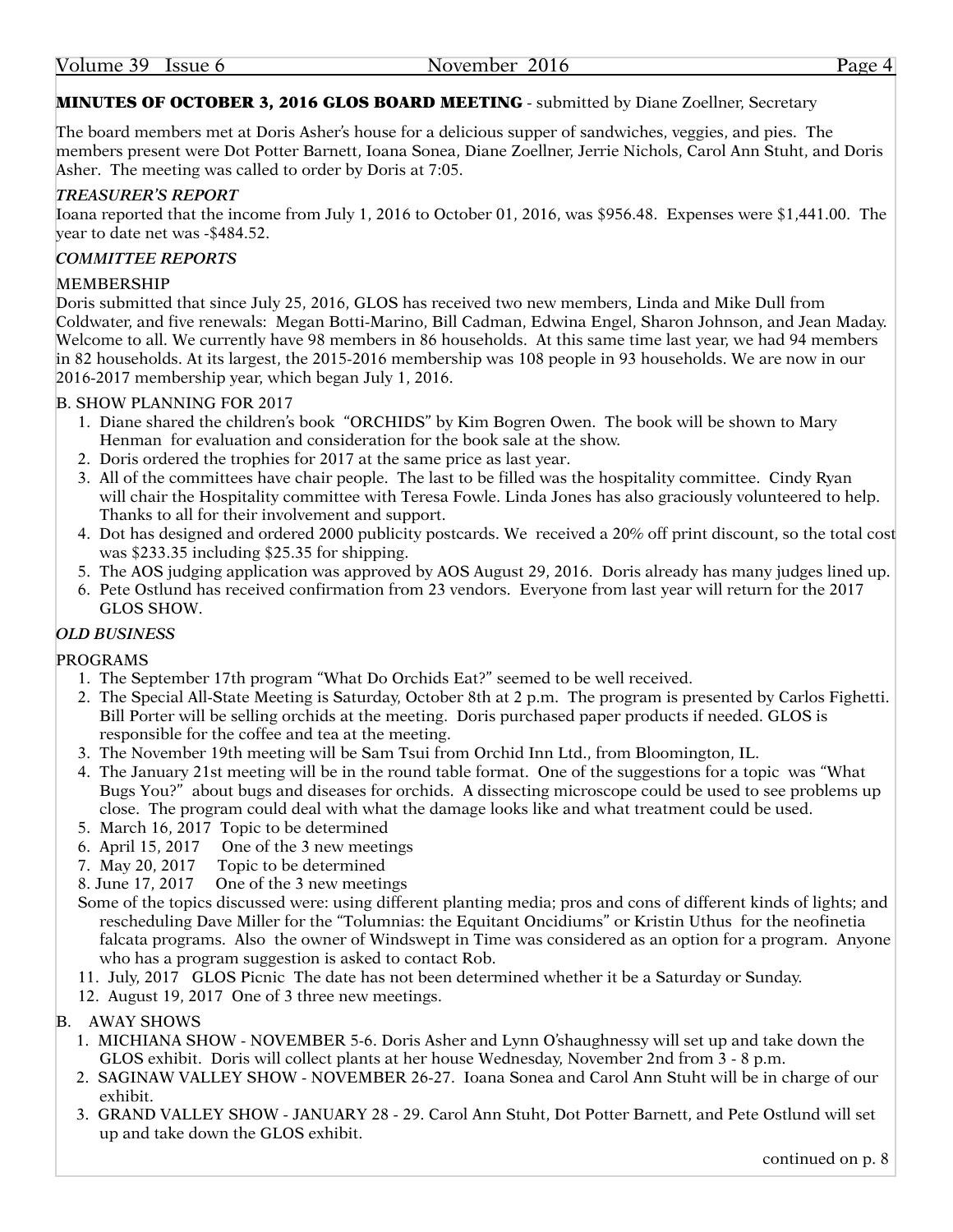#### MINUTES OF OCTOBER 3, 2016 GLOS BOARD MEETING - submitted by Diane Zoellner, Secretary

The board members met at Doris Asher's house for a delicious supper of sandwiches, veggies, and pies. The members present were Dot Potter Barnett, Ioana Sonea, Diane Zoellner, Jerrie Nichols, Carol Ann Stuht, and Doris Asher. The meeting was called to order by Doris at 7:05.

#### *TREASURER'S REPORT*

Ioana reported that the income from July 1, 2016 to October 01, 2016, was \$956.48. Expenses were \$1,441.00. The year to date net was -\$484.52.

#### *COMMITTEE REPORTS*

#### MEMBERSHIP

Doris submitted that since July 25, 2016, GLOS has received two new members, Linda and Mike Dull from Coldwater, and five renewals: Megan Botti-Marino, Bill Cadman, Edwina Engel, Sharon Johnson, and Jean Maday. Welcome to all. We currently have 98 members in 86 households. At this same time last year, we had 94 members in 82 households. At its largest, the 2015-2016 membership was 108 people in 93 households. We are now in our 2016-2017 membership year, which began July 1, 2016.

#### B. SHOW PLANNING FOR 2017

- 1. Diane shared the children's book "ORCHIDS" by Kim Bogren Owen. The book will be shown to Mary Henman for evaluation and consideration for the book sale at the show.
- 2. Doris ordered the trophies for 2017 at the same price as last year.
- 3. All of the committees have chair people. The last to be filled was the hospitality committee. Cindy Ryan will chair the Hospitality committee with Teresa Fowle. Linda Jones has also graciously volunteered to help. Thanks to all for their involvement and support.
- 4. Dot has designed and ordered 2000 publicity postcards. We received a 20% off print discount, so the total cost was \$233.35 including \$25.35 for shipping.
- 5. The AOS judging application was approved by AOS August 29, 2016. Doris already has many judges lined up.
- 6. Pete Ostlund has received confirmation from 23 vendors. Everyone from last year will return for the 2017 GLOS SHOW.

#### *OLD BUSINESS*

#### PROGRAMS

- 1. The September 17th program "What Do Orchids Eat?" seemed to be well received.
- 2. The Special All-State Meeting is Saturday, October 8th at 2 p.m. The program is presented by Carlos Fighetti. Bill Porter will be selling orchids at the meeting. Doris purchased paper products if needed. GLOS is responsible for the coffee and tea at the meeting.
- 3. The November 19th meeting will be Sam Tsui from Orchid Inn Ltd., from Bloomington, IL.
- 4. The January 21st meeting will be in the round table format. One of the suggestions for a topic was "What Bugs You?" about bugs and diseases for orchids. A dissecting microscope could be used to see problems up close. The program could deal with what the damage looks like and what treatment could be used.
- 5. March 16, 2017 Topic to be determined
- 6. April 15, 2017 One of the 3 new meetings
- 7. May 20, 2017 Topic to be determined
- 8. June 17, 2017 One of the 3 new meetings
- Some of the topics discussed were: using different planting media; pros and cons of different kinds of lights; and rescheduling Dave Miller for the "Tolumnias: the Equitant Oncidiums" or Kristin Uthus for the neofinetia falcata programs. Also the owner of Windswept in Time was considered as an option for a program. Anyone who has a program suggestion is asked to contact Rob.
- 11. July, 2017 GLOS Picnic The date has not been determined whether it be a Saturday or Sunday.
- 12. August 19, 2017 One of 3 three new meetings.

#### B. AWAY SHOWS

- 1. MICHIANA SHOW NOVEMBER 5-6. Doris Asher and Lynn O'shaughnessy will set up and take down the GLOS exhibit. Doris will collect plants at her house Wednesday, November 2nd from 3 - 8 p.m.
- 2. SAGINAW VALLEY SHOW NOVEMBER 26-27. Ioana Sonea and Carol Ann Stuht will be in charge of our exhibit.
- 3. GRAND VALLEY SHOW JANUARY 28 29. Carol Ann Stuht, Dot Potter Barnett, and Pete Ostlund will set up and take down the GLOS exhibit.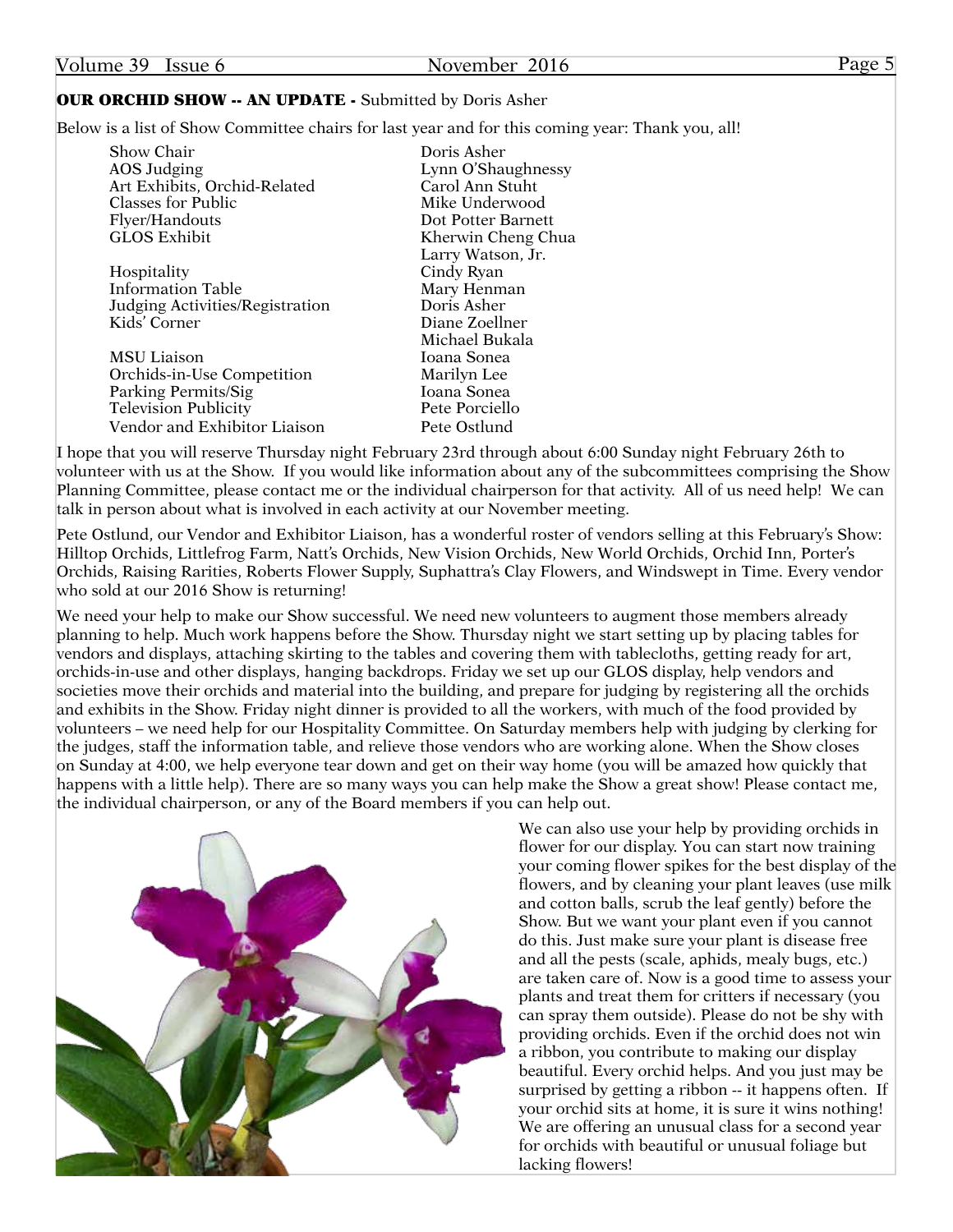| Volume 39 Issue 6                                              | November 2016                                                                                    | Page 5 |
|----------------------------------------------------------------|--------------------------------------------------------------------------------------------------|--------|
| <b>OUR ORCHID SHOW -- AN UPDATE - Submitted by Doris Asher</b> |                                                                                                  |        |
|                                                                | Below is a list of Show Committee chairs for last year and for this coming year: Thank you, all! |        |

| Show Chair                      | Doris Asher        |
|---------------------------------|--------------------|
| <b>AOS</b> Judging              | Lynn O'Shaughnessy |
| Art Exhibits, Orchid-Related    | Carol Ann Stuht    |
| <b>Classes for Public</b>       | Mike Underwood     |
| Flyer/Handouts                  | Dot Potter Barnett |
| <b>GLOS Exhibit</b>             | Kherwin Cheng Chua |
|                                 | Larry Watson, Jr.  |
| Hospitality                     | Cindy Ryan         |
| Information Table               | Mary Henman        |
| Judging Activities/Registration | Doris Asher        |
| Kids' Corner                    | Diane Zoellner     |
|                                 | Michael Bukala     |
| <b>MSU</b> Liaison              | Ioana Sonea        |
| Orchids-in-Use Competition      | Marilyn Lee        |
| Parking Permits/Sig             | Ioana Sonea        |
| <b>Television Publicity</b>     | Pete Porciello     |
| Vendor and Exhibitor Liaison    | Pete Ostlund       |
|                                 |                    |

I hope that you will reserve Thursday night February 23rd through about 6:00 Sunday night February 26th to volunteer with us at the Show. If you would like information about any of the subcommittees comprising the Show Planning Committee, please contact me or the individual chairperson for that activity. All of us need help! We can talk in person about what is involved in each activity at our November meeting.

Pete Ostlund, our Vendor and Exhibitor Liaison, has a wonderful roster of vendors selling at this February's Show: Hilltop Orchids, Littlefrog Farm, Natt's Orchids, New Vision Orchids, New World Orchids, Orchid Inn, Porter's Orchids, Raising Rarities, Roberts Flower Supply, Suphattra's Clay Flowers, and Windswept in Time. Every vendor who sold at our 2016 Show is returning!

We need your help to make our Show successful. We need new volunteers to augment those members already planning to help. Much work happens before the Show. Thursday night we start setting up by placing tables for vendors and displays, attaching skirting to the tables and covering them with tablecloths, getting ready for art, orchids-in-use and other displays, hanging backdrops. Friday we set up our GLOS display, help vendors and societies move their orchids and material into the building, and prepare for judging by registering all the orchids and exhibits in the Show. Friday night dinner is provided to all the workers, with much of the food provided by volunteers – we need help for our Hospitality Committee. On Saturday members help with judging by clerking for the judges, staff the information table, and relieve those vendors who are working alone. When the Show closes on Sunday at 4:00, we help everyone tear down and get on their way home (you will be amazed how quickly that happens with a little help). There are so many ways you can help make the Show a great show! Please contact me, the individual chairperson, or any of the Board members if you can help out.



We can also use your help by providing orchids in flower for our display. You can start now training your coming flower spikes for the best display of the flowers, and by cleaning your plant leaves (use milk and cotton balls, scrub the leaf gently) before the Show. But we want your plant even if you cannot do this. Just make sure your plant is disease free and all the pests (scale, aphids, mealy bugs, etc.) are taken care of. Now is a good time to assess your plants and treat them for critters if necessary (you can spray them outside). Please do not be shy with providing orchids. Even if the orchid does not win a ribbon, you contribute to making our display beautiful. Every orchid helps. And you just may be surprised by getting a ribbon -- it happens often. If your orchid sits at home, it is sure it wins nothing! We are offering an unusual class for a second year for orchids with beautiful or unusual foliage but lacking flowers!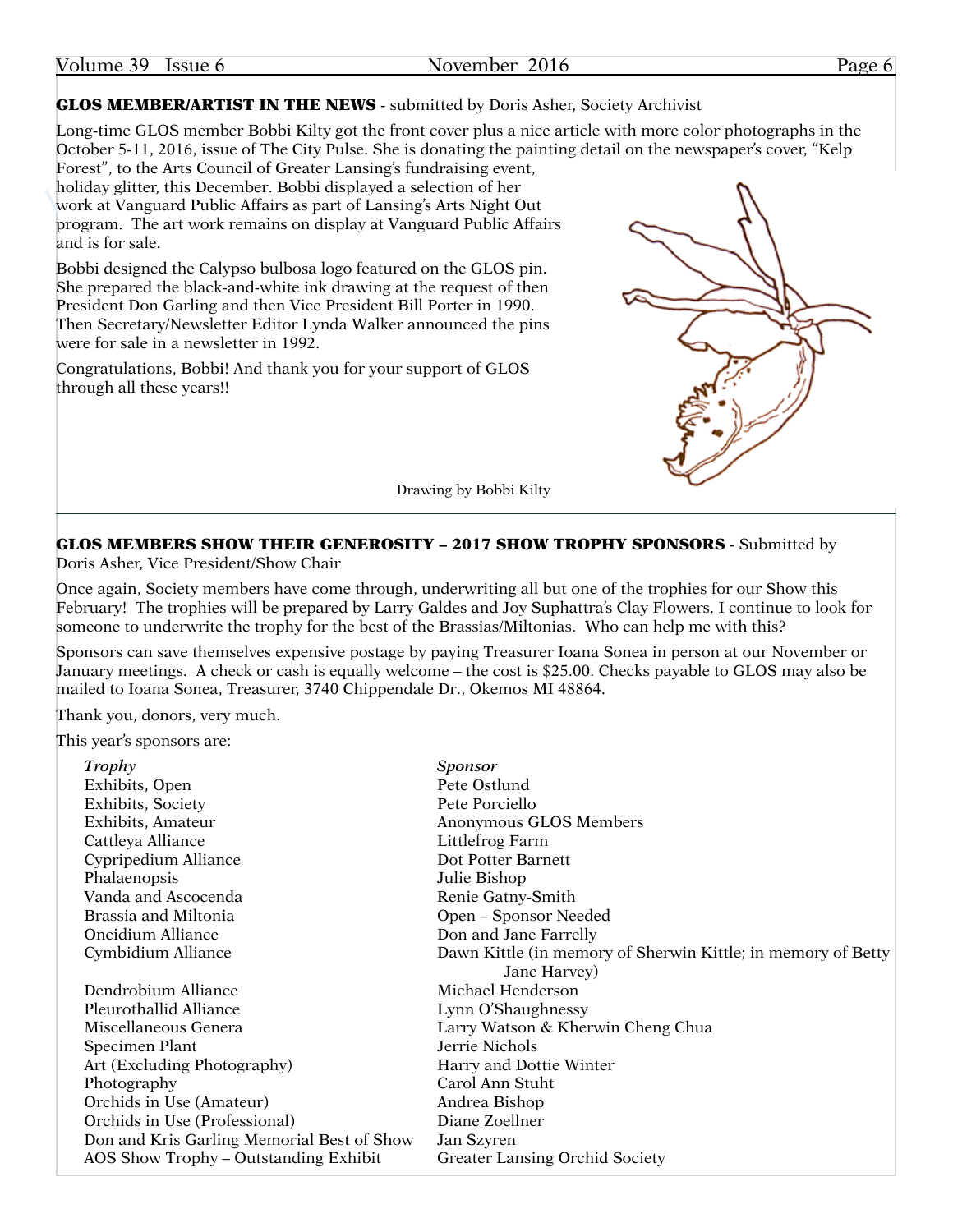Volume 39 Issue 6 November 2016 Page 6

#### **GLOS MEMBER/ARTIST IN THE NEWS** - submitted by Doris Asher, Society Archivist

Long-time GLOS member Bobbi Kilty got the front cover plus a nice article with more color photographs in the October 5-11, 2016, issue of The City Pulse. She is donating the painting detail on the newspaper's cover, "Kelp Forest", to the Arts Council of Greater Lansing's fundraising event,

holiday glitter, this December. Bobbi displayed a selection of her work at Vanguard Public Affairs as part of Lansing's Arts Night Out program. The art work remains on display at Vanguard Public Affairs and is for sale.

Bobbi designed the Calypso bulbosa logo featured on the GLOS pin. She prepared the black-and-white ink drawing at the request of then President Don Garling and then Vice President Bill Porter in 1990. Then Secretary/Newsletter Editor Lynda Walker announced the pins were for sale in a newsletter in 1992.

Congratulations, Bobbi! And thank you for your support of GLOS through all these years!!



Drawing by Bobbi Kilty

#### GLOS MEMBERS SHOW THEIR GENEROSITY – 2017 SHOW TROPHY SPONSORS - Submitted by

Doris Asher, Vice President/Show Chair

Once again, Society members have come through, underwriting all but one of the trophies for our Show this February! The trophies will be prepared by Larry Galdes and Joy Suphattra's Clay Flowers. I continue to look for someone to underwrite the trophy for the best of the Brassias/Miltonias. Who can help me with this?

Sponsors can save themselves expensive postage by paying Treasurer Ioana Sonea in person at our November or January meetings. A check or cash is equally welcome – the cost is \$25.00. Checks payable to GLOS may also be mailed to Ioana Sonea, Treasurer, 3740 Chippendale Dr., Okemos MI 48864.

Thank you, donors, very much.

This year's sponsors are:

| Trophy                                     | Sponsor                                                      |
|--------------------------------------------|--------------------------------------------------------------|
| Exhibits, Open                             | Pete Ostlund                                                 |
| Exhibits, Society                          | Pete Porciello                                               |
| Exhibits, Amateur                          | Anonymous GLOS Members                                       |
| Cattleya Alliance                          | Littlefrog Farm                                              |
| Cypripedium Alliance                       | Dot Potter Barnett                                           |
| Phalaenopsis                               | Julie Bishop                                                 |
| Vanda and Ascocenda                        | Renie Gatny-Smith                                            |
| Brassia and Miltonia                       | Open – Sponsor Needed                                        |
| Oncidium Alliance                          | Don and Jane Farrelly                                        |
| Cymbidium Alliance                         | Dawn Kittle (in memory of Sherwin Kittle; in memory of Betty |
|                                            | Jane Harvey)                                                 |
| Dendrobium Alliance                        | Michael Henderson                                            |
| Pleurothallid Alliance                     | Lynn O'Shaughnessy                                           |
| Miscellaneous Genera                       | Larry Watson & Kherwin Cheng Chua                            |
| Specimen Plant                             | Jerrie Nichols                                               |
| Art (Excluding Photography)                | Harry and Dottie Winter                                      |
| Photography                                | Carol Ann Stuht                                              |
| Orchids in Use (Amateur)                   | Andrea Bishop                                                |
| Orchids in Use (Professional)              | Diane Zoellner                                               |
| Don and Kris Garling Memorial Best of Show | Jan Szyren                                                   |
| AOS Show Trophy - Outstanding Exhibit      | <b>Greater Lansing Orchid Society</b>                        |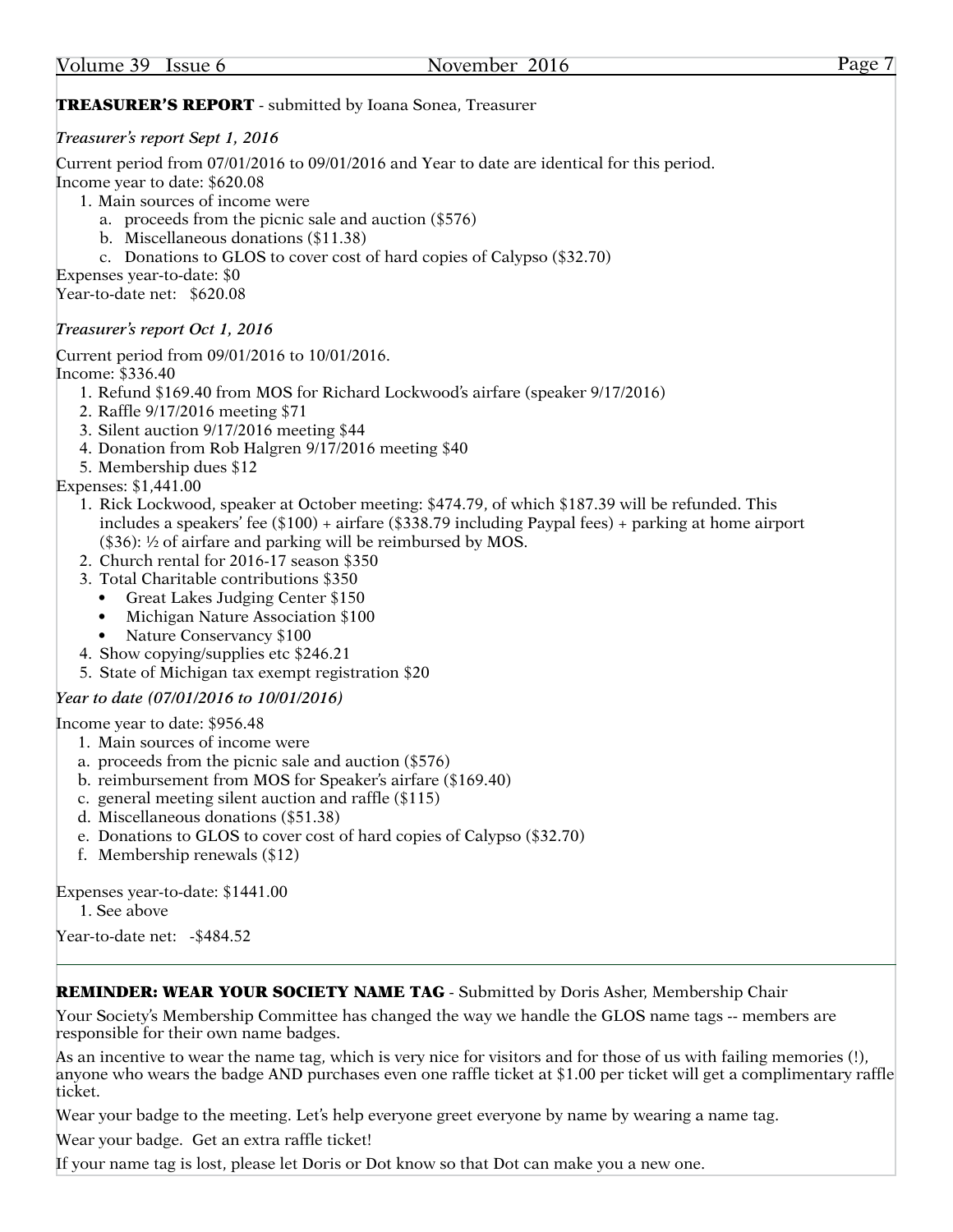| Volume 39 Issue 6                                        |                                                                                                                                                                                                                                                                                                  | November 2016                                                                                                                                                                                                                                                                                                                                                                                                                                                                                                                                                            | Page 7 |
|----------------------------------------------------------|--------------------------------------------------------------------------------------------------------------------------------------------------------------------------------------------------------------------------------------------------------------------------------------------------|--------------------------------------------------------------------------------------------------------------------------------------------------------------------------------------------------------------------------------------------------------------------------------------------------------------------------------------------------------------------------------------------------------------------------------------------------------------------------------------------------------------------------------------------------------------------------|--------|
|                                                          |                                                                                                                                                                                                                                                                                                  | <b>TREASURER'S REPORT</b> - submitted by Ioana Sonea, Treasurer                                                                                                                                                                                                                                                                                                                                                                                                                                                                                                          |        |
|                                                          | Treasurer's report Sept 1, 2016                                                                                                                                                                                                                                                                  |                                                                                                                                                                                                                                                                                                                                                                                                                                                                                                                                                                          |        |
| Expenses year-to-date: \$0<br>Year-to-date net: \$620.08 | Income year to date: \$620.08<br>1. Main sources of income were<br>b. Miscellaneous donations (\$11.38)                                                                                                                                                                                          | Current period from 07/01/2016 to 09/01/2016 and Year to date are identical for this period.<br>a. proceeds from the picnic sale and auction (\$576)<br>c. Donations to GLOS to cover cost of hard copies of Calypso (\$32.70)                                                                                                                                                                                                                                                                                                                                           |        |
|                                                          | Treasurer's report Oct 1, 2016                                                                                                                                                                                                                                                                   |                                                                                                                                                                                                                                                                                                                                                                                                                                                                                                                                                                          |        |
| Income: \$336.40<br>Expenses: \$1,441.00<br>٠<br>٠<br>٠  | 2. Raffle 9/17/2016 meeting \$71<br>3. Silent auction 9/17/2016 meeting \$44<br>5. Membership dues \$12<br>3. Total Charitable contributions \$350<br>Great Lakes Judging Center \$150<br>Michigan Nature Association \$100<br>Nature Conservancy \$100<br>4. Show copying/supplies etc \$246.21 | Current period from 09/01/2016 to 10/01/2016.<br>1. Refund \$169.40 from MOS for Richard Lockwood's airfare (speaker 9/17/2016)<br>4. Donation from Rob Halgren 9/17/2016 meeting \$40<br>1. Rick Lockwood, speaker at October meeting: \$474.79, of which \$187.39 will be refunded. This<br>includes a speakers' fee (\$100) + airfare (\$338.79 including Paypal fees) + parking at home airport<br>$(\$36):$ 1/2 of airfare and parking will be reimbursed by MOS.<br>2. Church rental for 2016-17 season \$350<br>5. State of Michigan tax exempt registration \$20 |        |
|                                                          | Year to date (07/01/2016 to 10/01/2016)                                                                                                                                                                                                                                                          |                                                                                                                                                                                                                                                                                                                                                                                                                                                                                                                                                                          |        |
|                                                          | Income year to date: \$956.48<br>1. Main sources of income were<br>d. Miscellaneous donations (\$51.38)<br>f. Membership renewals $(\$12)$                                                                                                                                                       | a. proceeds from the picnic sale and auction (\$576)<br>b. reimbursement from MOS for Speaker's airfare (\$169.40)<br>c. general meeting silent auction and raffle (\$115)<br>e. Donations to GLOS to cover cost of hard copies of Calypso (\$32.70)                                                                                                                                                                                                                                                                                                                     |        |
| 1. See above                                             | Expenses year-to-date: \$1441.00<br>Year-to-date net: - \$484.52                                                                                                                                                                                                                                 |                                                                                                                                                                                                                                                                                                                                                                                                                                                                                                                                                                          |        |

#### REMINDER: WEAR YOUR SOCIETY NAME TAG - Submitted by Doris Asher, Membership Chair

Your Society's Membership Committee has changed the way we handle the GLOS name tags -- members are responsible for their own name badges.

As an incentive to wear the name tag, which is very nice for visitors and for those of us with failing memories (!), anyone who wears the badge AND purchases even one raffle ticket at \$1.00 per ticket will get a complimentary raffle ticket.

Wear your badge to the meeting. Let's help everyone greet everyone by name by wearing a name tag.

Wear your badge. Get an extra raffle ticket!

If your name tag is lost, please let Doris or Dot know so that Dot can make you a new one.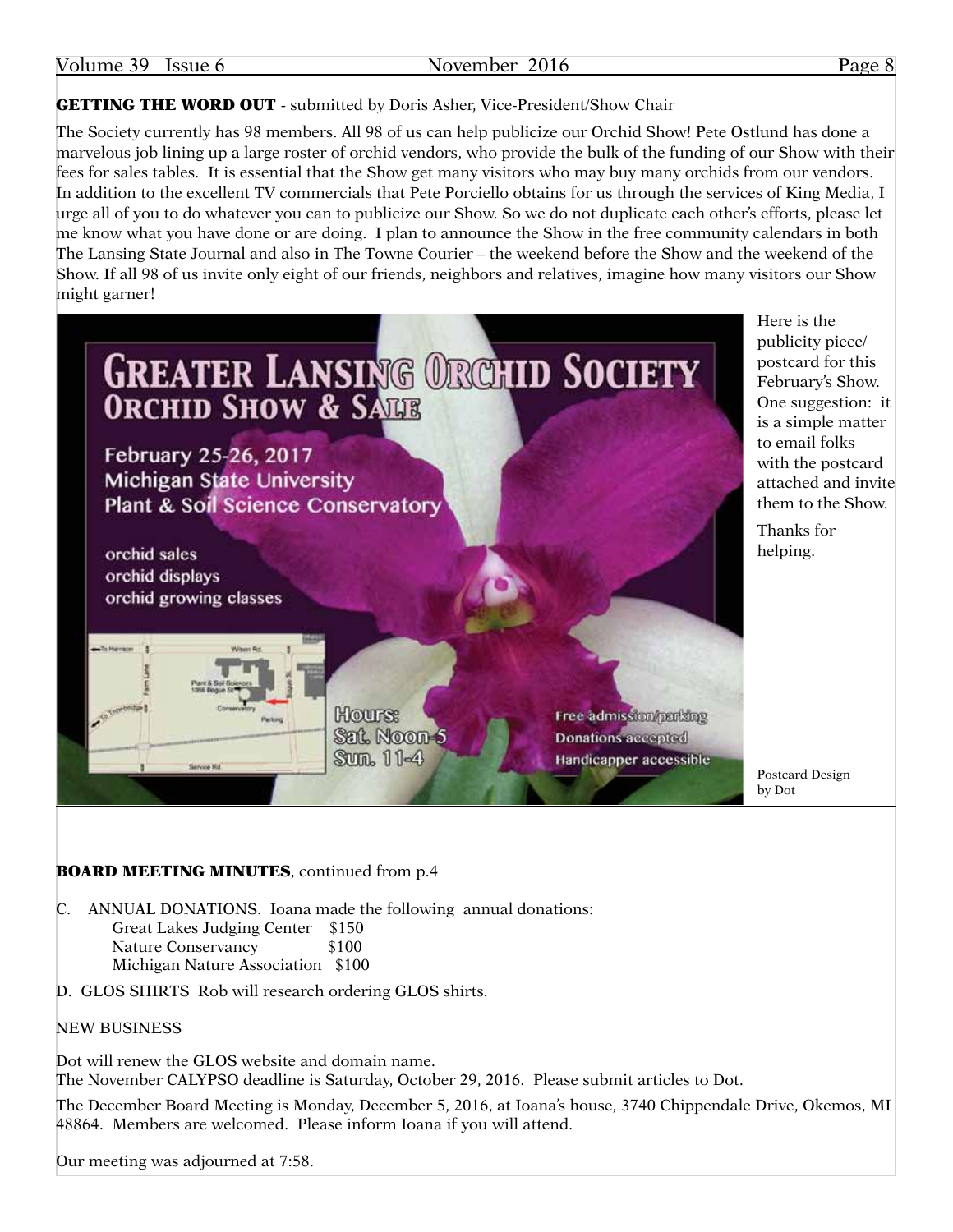**GETTING THE WORD OUT** - submitted by Doris Asher, Vice-President/Show Chair

The Society currently has 98 members. All 98 of us can help publicize our Orchid Show! Pete Ostlund has done a marvelous job lining up a large roster of orchid vendors, who provide the bulk of the funding of our Show with their fees for sales tables. It is essential that the Show get many visitors who may buy many orchids from our vendors. In addition to the excellent TV commercials that Pete Porciello obtains for us through the services of King Media, I urge all of you to do whatever you can to publicize our Show. So we do not duplicate each other's efforts, please let me know what you have done or are doing. I plan to announce the Show in the free community calendars in both The Lansing State Journal and also in The Towne Courier – the weekend before the Show and the weekend of the Show. If all 98 of us invite only eight of our friends, neighbors and relatives, imagine how many visitors our Show might garner!



Here is the publicity piece/ postcard for this February's Show. One suggestion: it is a simple matter to email folks with the postcard attached and invite them to the Show.

Thanks for helping.

Postcard Design by Dot

#### BOARD MEETING MINUTES, continued from p.4

C. ANNUAL DONATIONS. Ioana made the following annual donations: Great Lakes Judging Center \$150 Nature Conservancy \$100 Michigan Nature Association \$100

D. GLOS SHIRTS Rob will research ordering GLOS shirts.

#### NEW BUSINESS

Dot will renew the GLOS website and domain name. The November CALYPSO deadline is Saturday, October 29, 2016. Please submit articles to Dot.

The December Board Meeting is Monday, December 5, 2016, at Ioana's house, 3740 Chippendale Drive, Okemos, MI 48864. Members are welcomed. Please inform Ioana if you will attend.

Our meeting was adjourned at 7:58.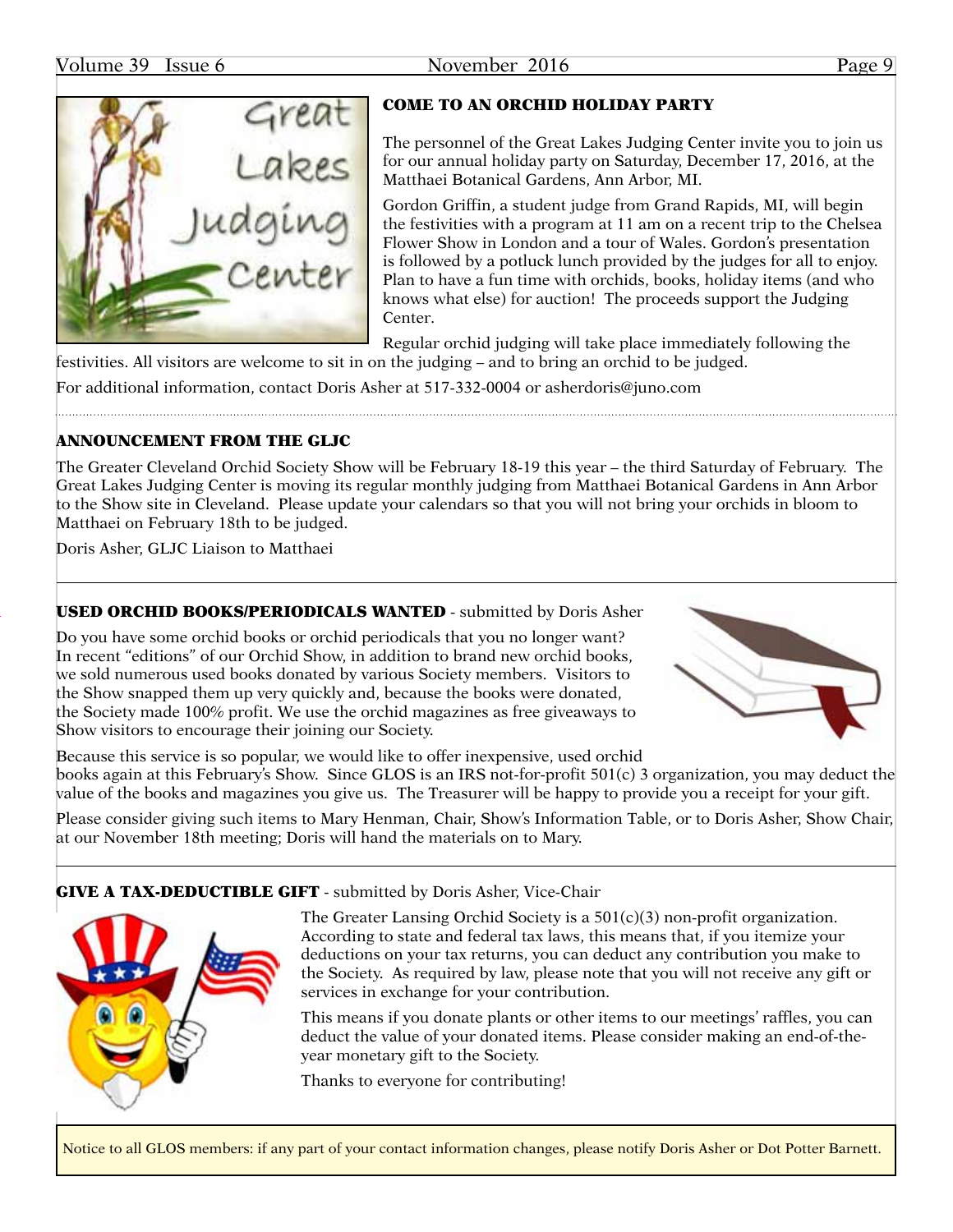

#### COME TO AN ORCHID HOLIDAY PARTY

The personnel of the Great Lakes Judging Center invite you to join us for our annual holiday party on Saturday, December 17, 2016, at the Matthaei Botanical Gardens, Ann Arbor, MI.

Gordon Griffin, a student judge from Grand Rapids, MI, will begin the festivities with a program at 11 am on a recent trip to the Chelsea Flower Show in London and a tour of Wales. Gordon's presentation is followed by a potluck lunch provided by the judges for all to enjoy. Plan to have a fun time with orchids, books, holiday items (and who knows what else) for auction! The proceeds support the Judging Center.

Regular orchid judging will take place immediately following the festivities. All visitors are welcome to sit in on the judging – and to bring an orchid to be judged.

For additional information, contact Doris Asher at 517-332-0004 or [asherdoris@juno.com](mailto:asherdoris@juno.com)

#### ANNOUNCEMENT FROM THE GLJC

The Greater Cleveland Orchid Society Show will be February 18-19 this year – the third Saturday of February. The Great Lakes Judging Center is moving its regular monthly judging from Matthaei Botanical Gardens in Ann Arbor to the Show site in Cleveland. Please update your calendars so that you will not bring your orchids in bloom to Matthaei on February 18th to be judged.

Doris Asher, GLJC Liaison to Matthaei

### USED ORCHID BOOKS/PERIODICALS WANTED - submitted by Doris Asher

Do you have some orchid books or orchid periodicals that you no longer want? In recent "editions" of our Orchid Show, in addition to brand new orchid books, we sold numerous used books donated by various Society members. Visitors to the Show snapped them up very quickly and, because the books were donated, the Society made 100% profit. We use the orchid magazines as free giveaways to Show visitors to encourage their joining our Society.



Because this service is so popular, we would like to offer inexpensive, used orchid books again at this February's Show. Since GLOS is an IRS not-for-profit 501(c) 3 organization, you may deduct the value of the books and magazines you give us. The Treasurer will be happy to provide you a receipt for your gift.

Please consider giving such items to Mary Henman, Chair, Show's Information Table, or to Doris Asher, Show Chair, at our November 18th meeting; Doris will hand the materials on to Mary.

#### GIVE A TAX-DEDUCTIBLE GIFT - submitted by Doris Asher, Vice-Chair



The Greater Lansing Orchid Society is a 501(c)(3) non-profit organization. According to state and federal tax laws, this means that, if you itemize your deductions on your tax returns, you can deduct any contribution you make to the Society. As required by law, please note that you will not receive any gift or services in exchange for your contribution.

This means if you donate plants or other items to our meetings' raffles, you can deduct the value of your donated items. Please consider making an end-of-theyear monetary gift to the Society.

Thanks to everyone for contributing!

Notice to all GLOS members: if any part of your contact information changes, please notify Doris Asher or Dot Potter Barnett.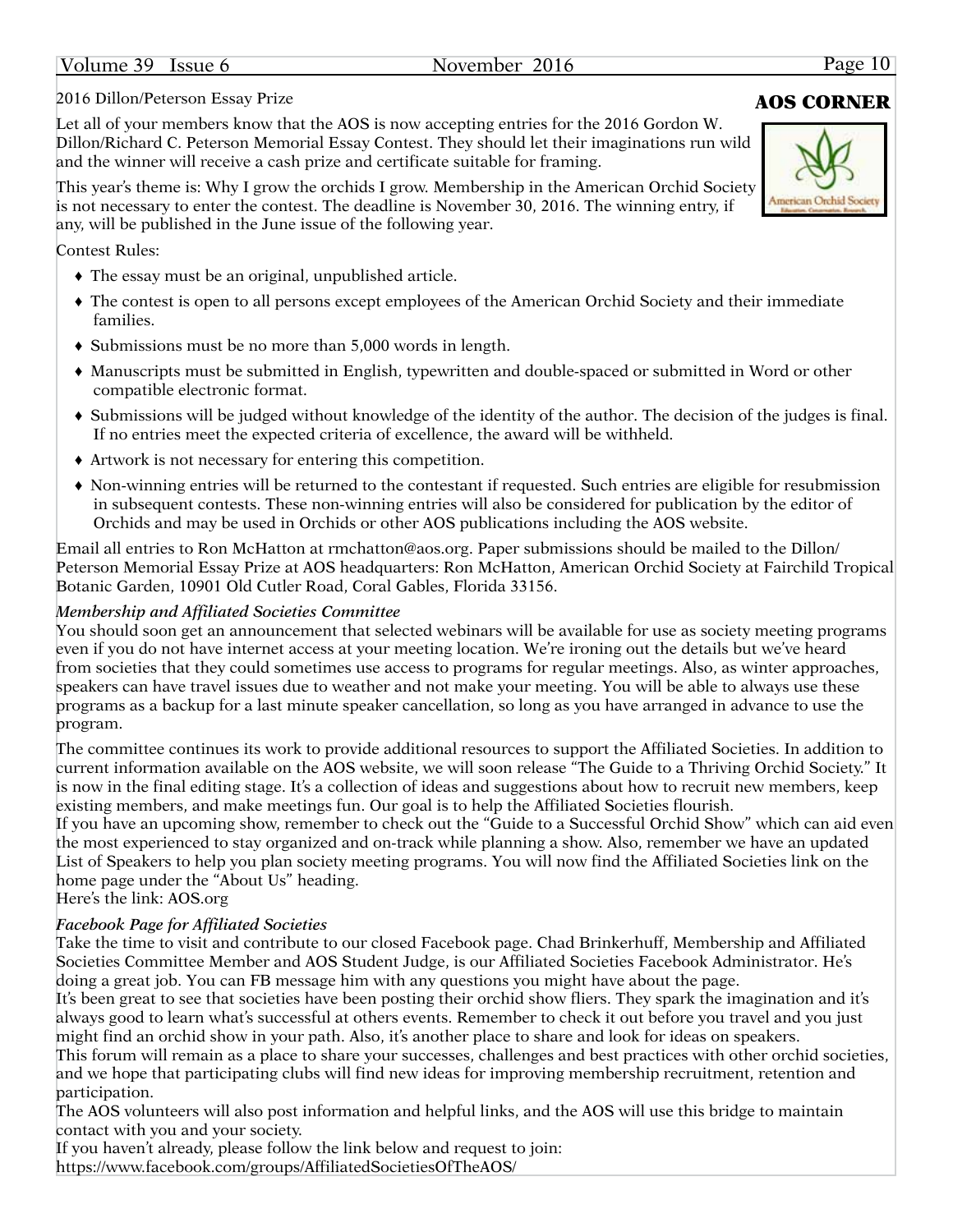#### Volume 39 Issue 6 November 2016 Page 10

### 2016 Dillon/Peterson Essay Prize **AOS CORNER**

Let all of your members know that the AOS is now accepting entries for the 2016 Gordon W. Dillon/Richard C. Peterson Memorial Essay Contest. They should let their imaginations run wild and the winner will receive a cash prize and certificate suitable for framing.

This year's theme is: Why I grow the orchids I grow. Membership in the American Orchid Society is not necessary to enter the contest. The deadline is November 30, 2016. The winning entry, if any, will be published in the June issue of the following year.

Contest Rules:

- ♦ The essay must be an original, unpublished article.
- ♦ The contest is open to all persons except employees of the American Orchid Society and their immediate families.
- ♦ Submissions must be no more than 5,000 words in length.
- ♦ Manuscripts must be submitted in English, typewritten and double-spaced or submitted in Word or other compatible electronic format.
- ♦ Submissions will be judged without knowledge of the identity of the author. The decision of the judges is final. If no entries meet the expected criteria of excellence, the award will be withheld.
- ♦ Artwork is not necessary for entering this competition.
- ♦ Non-winning entries will be returned to the contestant if requested. Such entries are eligible for resubmission in subsequent contests. These non-winning entries will also be considered for publication by the editor of Orchids and may be used in Orchids or other AOS publications including the AOS website.

Email all entries to Ron McHatton at [rmchatton@aos.org](mailto:rmchatton@aos.org). Paper submissions should be mailed to the Dillon/ Peterson Memorial Essay Prize at AOS headquarters: Ron McHatton, American Orchid Society at Fairchild Tropical Botanic Garden, 10901 Old Cutler Road, Coral Gables, Florida 33156.

### *Membership and Affiliated Societies Committee*

You should soon get an announcement that selected webinars will be available for use as society meeting programs even if you do not have internet access at your meeting location. We're ironing out the details but we've heard from societies that they could sometimes use access to programs for regular meetings. Also, as winter approaches, speakers can have travel issues due to weather and not make your meeting. You will be able to always use these programs as a backup for a last minute speaker cancellation, so long as you have arranged in advance to use the program.

The committee continues its work to provide additional resources to support the Affiliated Societies. In addition to current information available on the AOS website, we will soon release "The Guide to a Thriving Orchid Society." It is now in the final editing stage. It's a collection of ideas and suggestions about how to recruit new members, keep existing members, and make meetings fun. Our goal is to help the Affiliated Societies flourish.

If you have an upcoming show, remember to check out the "Guide to a Successful Orchid Show" which can aid even the most experienced to stay organized and on-track while planning a show. Also, remember we have an updated List of Speakers to help you plan society meeting programs. You will now find the Affiliated Societies link on the home page under the "About Us" heading.

Here's the link: <AOS.org>

### *Facebook Page for Affiliated Societies*

Take the time to visit and contribute to our closed Facebook page. Chad Brinkerhuff, Membership and Affiliated Societies Committee Member and AOS Student Judge, is our Affiliated Societies Facebook Administrator. He's doing a great job. You can FB message him with any questions you might have about the page.

It's been great to see that societies have been posting their orchid show fliers. They spark the imagination and it's always good to learn what's successful at others events. Remember to check it out before you travel and you just might find an orchid show in your path. Also, it's another place to share and look for ideas on speakers.

This forum will remain as a place to share your successes, challenges and best practices with other orchid societies, and we hope that participating clubs will find new ideas for improving membership recruitment, retention and participation.

The AOS volunteers will also post information and helpful links, and the AOS will use this bridge to maintain contact with you and your society.

If you haven't already, please follow the link below and request to join: <https://www.facebook.com/groups/AffiliatedSocietiesOfTheAOS>/

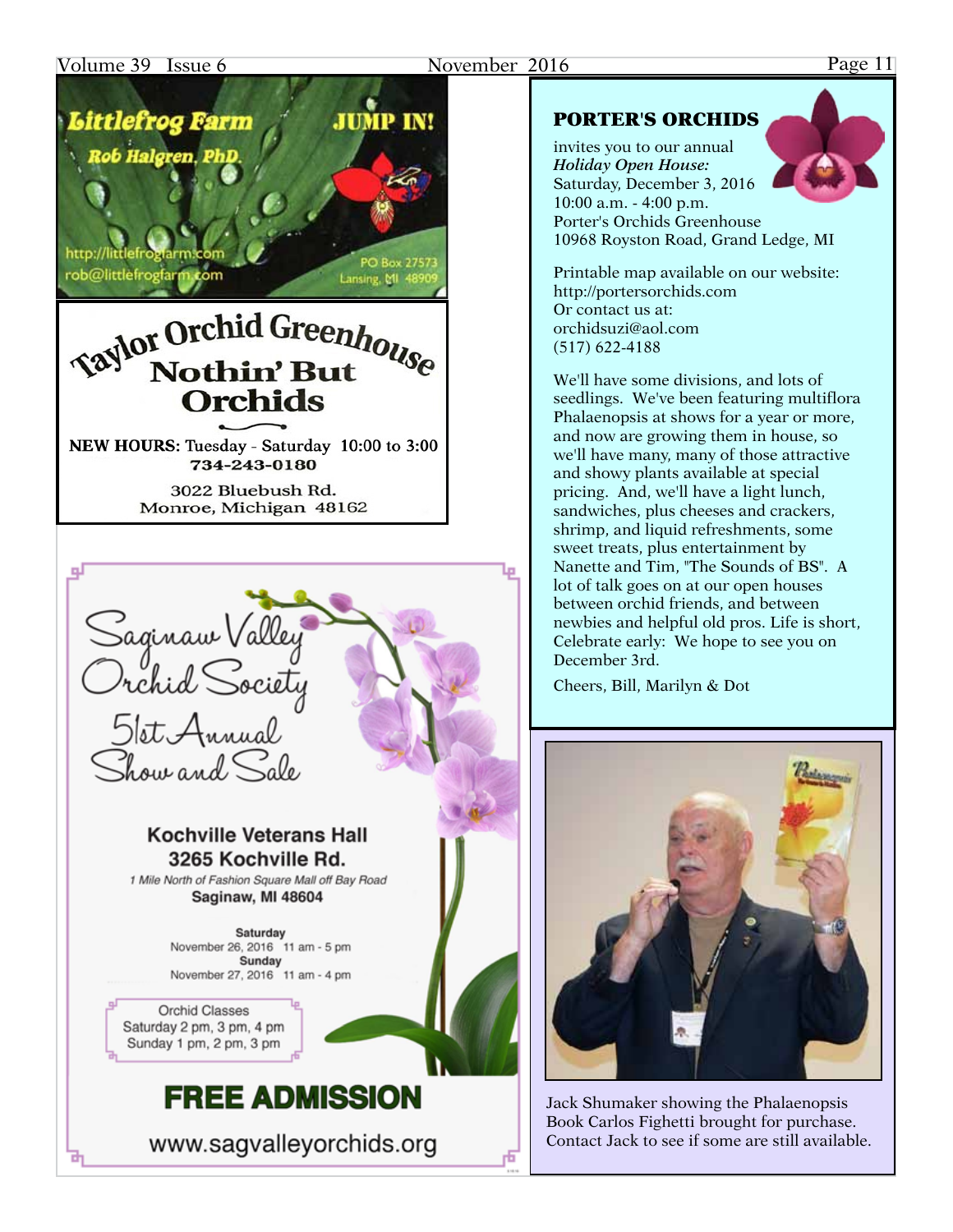#### Volume 39 Issue 6 November 2016 Page 11

## **JUMP IN!** Littlefrog Farm b Halgren, PhD

http://littlefroglarm.co rob@littlefrogfarm.com

## **Taylor Orchid Greenhouse** Nothin' But **Orchids**

Lansing, MI 48

NEW HOURS: Tuesday - Saturday 10:00 to 3:00 734-243-0180

> 3022 Bluebush Rd. Monroe, Michigan 48162



www.sagvalleyorchids.org

#### PORTER'S ORCHIDS

invites you to our annual *Holiday Open House:* Saturday, December 3, 2016 10:00 a.m. - 4:00 p.m. Porter's Orchids Greenhouse 10968 Royston Road, Grand Ledge, MI

Printable map available on our website: http://portersorchids.com Or contact us at: orchidsuzi@aol.com (517) 622-4188

We'll have some divisions, and lots of seedlings. We've been featuring multiflora Phalaenopsis at shows for a year or more, and now are growing them in house, so we'll have many, many of those attractive and showy plants available at special pricing. And, we'll have a light lunch, sandwiches, plus cheeses and crackers, shrimp, and liquid refreshments, some sweet treats, plus entertainment by Nanette and Tim, "The Sounds of BS". A lot of talk goes on at our open houses between orchid friends, and between newbies and helpful old pros. Life is short, Celebrate early: We hope to see you on December 3rd.

Cheers, Bill, Marilyn & Dot



Jack Shumaker showing the Phalaenopsis Book Carlos Fighetti brought for purchase. Contact Jack to see if some are still available.